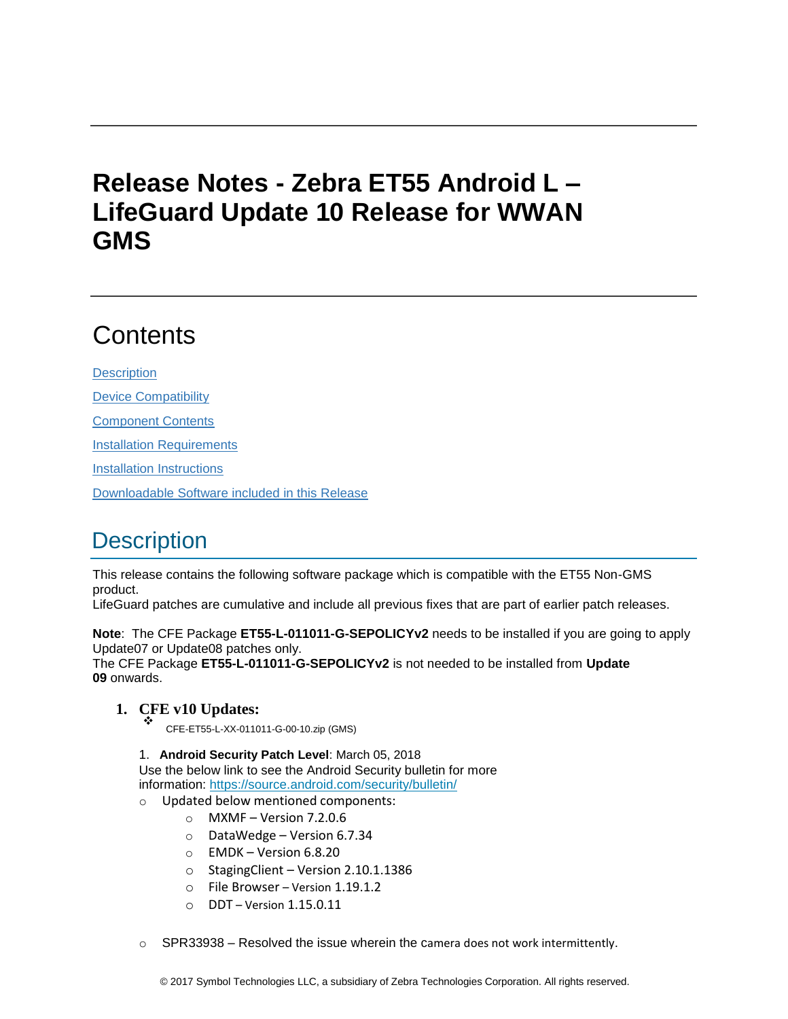# **Release Notes - Zebra ET55 Android L – LifeGuard Update 10 Release for WWAN GMS**

# **Contents**

**[Description](#page-0-0)** [Device Compatibility](#page-3-0) [Component Contents](#page-4-0) [Installation Requirements](#page-4-1) [Installation Instructions](#page-4-2) [Downloadable Software included in this Release](#page-6-0)

## <span id="page-0-0"></span>**Description**

This release contains the following software package which is compatible with the ET55 Non-GMS product.

LifeGuard patches are cumulative and include all previous fixes that are part of earlier patch releases.

**Note**: The CFE Package **ET55-L-011011-G-SEPOLICYv2** needs to be installed if you are going to apply Update07 or Update08 patches only.

The CFE Package **ET55-L-011011-G-SEPOLICYv2** is not needed to be installed from **Update 09** onwards.

### **1. CFE v10 Updates:** ❖

CFE-ET55-L-XX-011011-G-00-10.zip (GMS)

1. **Android Security Patch Level**: March 05, 2018 Use the below link to see the Android Security bulletin for more information:<https://source.android.com/security/bulletin/>

- o Updated below mentioned components:
	- $\circ$  MXMF Version 7.2.0.6
	- o DataWedge Version 6.7.34
	- $\circ$  EMDK Version 6.8.20
	- o StagingClient Version 2.10.1.1386
	- o File Browser Version 1.19.1.2
	- o DDT Version 1.15.0.11
- $\circ$  SPR33938 Resolved the issue wherein the camera does not work intermittently.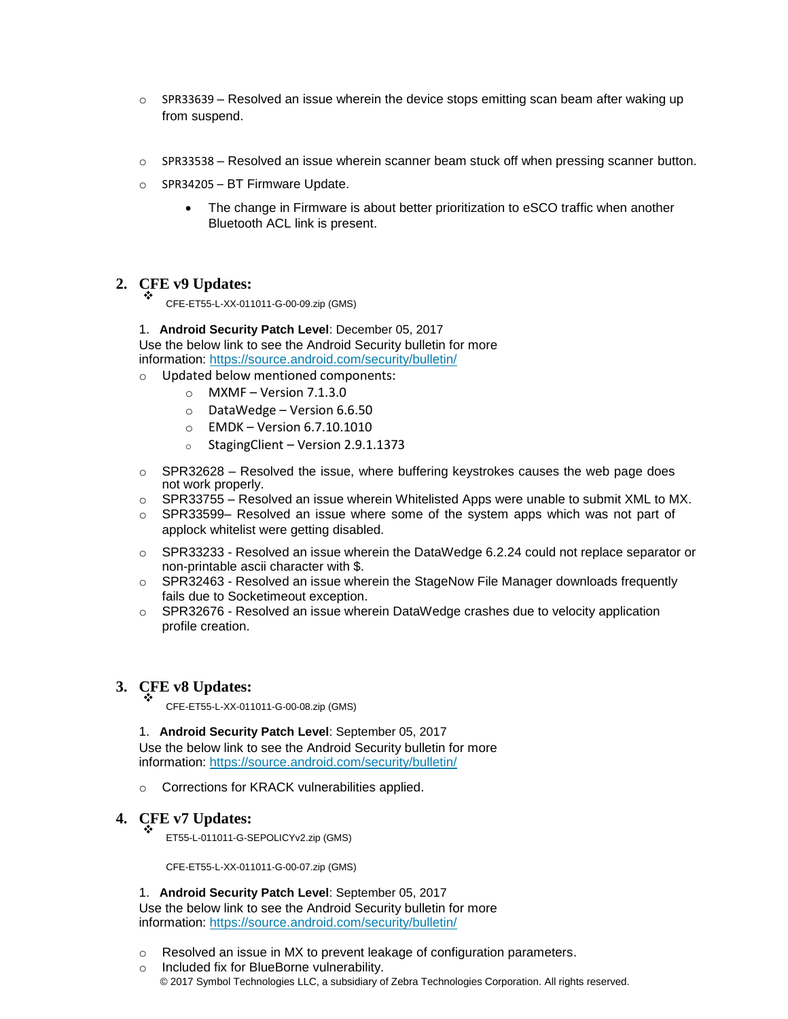- $\circ$  SPR33639 Resolved an issue wherein the device stops emitting scan beam after waking up from suspend.
- $\circ$  SPR33538 Resolved an issue wherein scanner beam stuck off when pressing scanner button.
- o SPR34205 BT Firmware Update.
	- The change in Firmware is about better prioritization to eSCO traffic when another Bluetooth ACL link is present.

#### **2. CFE v9 Updates:** ❖

CFE-ET55-L-XX-011011-G-00-09.zip (GMS)

1. **Android Security Patch Level**: December 05, 2017 Use the below link to see the Android Security bulletin for more information:<https://source.android.com/security/bulletin/>

- o Updated below mentioned components:
	- $\circ$  MXMF Version 7.1.3.0
	- o DataWedge Version 6.6.50
	- $\circ$  EMDK Version 6.7.10.1010
	- o StagingClient Version 2.9.1.1373
- $\circ$  SPR32628 Resolved the issue, where buffering keystrokes causes the web page does not work properly.
- $\circ$  SPR33755 Resolved an issue wherein Whitelisted Apps were unable to submit XML to MX.
- o SPR33599– Resolved an issue where some of the system apps which was not part of applock whitelist were getting disabled.
- o SPR33233 Resolved an issue wherein the DataWedge 6.2.24 could not replace separator or non-printable ascii character with \$.
- $\circ$  SPR32463 Resolved an issue wherein the StageNow File Manager downloads frequently fails due to Socketimeout exception.
- $\circ$  SPR32676 Resolved an issue wherein DataWedge crashes due to velocity application profile creation.

#### **3. CFE v8 Updates:** ❖

CFE-ET55-L-XX-011011-G-00-08.zip (GMS)

1. **Android Security Patch Level**: September 05, 2017 Use the below link to see the Android Security bulletin for more information:<https://source.android.com/security/bulletin/>

o Corrections for KRACK vulnerabilities applied.

#### **4. CFE v7 Updates:** ❖

ET55-L-011011-G-SEPOLICYv2.zip (GMS)

CFE-ET55-L-XX-011011-G-00-07.zip (GMS)

1. **Android Security Patch Level**: September 05, 2017

Use the below link to see the Android Security bulletin for more information:<https://source.android.com/security/bulletin/>

- o Resolved an issue in MX to prevent leakage of configuration parameters.
- © 2017 Symbol Technologies LLC, a subsidiary of Zebra Technologies Corporation. All rights reserved. o Included fix for BlueBorne vulnerability.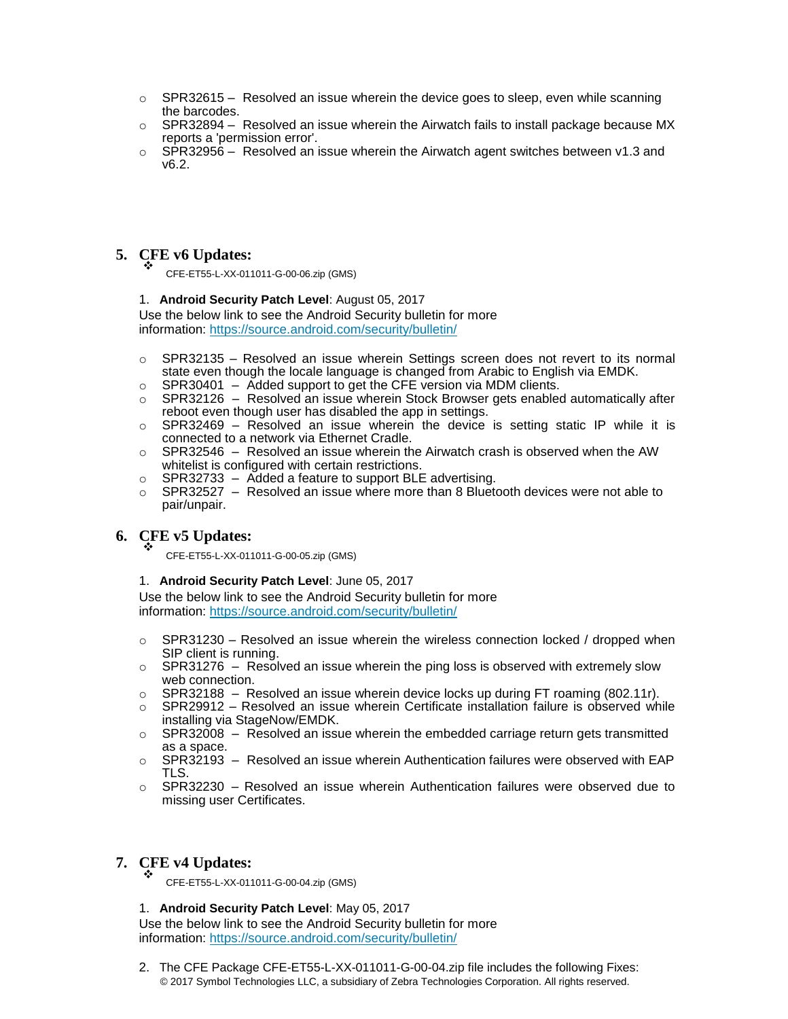- $\circ$  SPR32615 Resolved an issue wherein the device goes to sleep, even while scanning the barcodes.
- $\circ$  SPR32894 Resolved an issue wherein the Airwatch fails to install package because MX reports a 'permission error'.
- $\circ$  SPR32956 Resolved an issue wherein the Airwatch agent switches between v1.3 and v6.2.

## **5. CFE v6 Updates:** ❖

CFE-ET55-L-XX-011011-G-00-06.zip (GMS)

### 1. **Android Security Patch Level**: August 05, 2017

Use the below link to see the Android Security bulletin for more information:<https://source.android.com/security/bulletin/>

- $\circ$  SPR32135 Resolved an issue wherein Settings screen does not revert to its normal state even though the locale language is changed from Arabic to English via EMDK.
- $\circ$  SPR30401 Added support to get the CFE version via MDM clients.
- $\circ$  SPR32126 Resolved an issue wherein Stock Browser gets enabled automatically after reboot even though user has disabled the app in settings.
- $\circ$  SPR32469 Resolved an issue wherein the device is setting static IP while it is connected to a network via Ethernet Cradle.
- $\circ$  SPR32546 Resolved an issue wherein the Airwatch crash is observed when the AW whitelist is configured with certain restrictions.
- $\circ$  SPR32733 Added a feature to support BLE advertising.
- $\circ$  SPR32527 Resolved an issue where more than 8 Bluetooth devices were not able to pair/unpair.

#### **6. CFE v5 Updates:** ❖

CFE-ET55-L-XX-011011-G-00-05.zip (GMS)

### 1. **Android Security Patch Level**: June 05, 2017

Use the below link to see the Android Security bulletin for more information:<https://source.android.com/security/bulletin/>

- $\circ$  SPR31230 Resolved an issue wherein the wireless connection locked / dropped when SIP client is running.
- $\circ$  SPR31276 Resolved an issue wherein the ping loss is observed with extremely slow web connection.
- o SPR32188 Resolved an issue wherein device locks up during FT roaming (802.11r).
- $\circ$  SPR29912 Resolved an issue wherein Certificate installation failure is observed while installing via StageNow/EMDK.
- $\circ$  SPR32008 Resolved an issue wherein the embedded carriage return gets transmitted as a space.
- $\circ$  SPR32193 Resolved an issue wherein Authentication failures were observed with EAP TLS.
- $\circ$  SPR32230 Resolved an issue wherein Authentication failures were observed due to missing user Certificates.

#### **7. CFE v4 Updates:** ❖

CFE-ET55-L-XX-011011-G-00-04.zip (GMS)

### 1. **Android Security Patch Level**: May 05, 2017

Use the below link to see the Android Security bulletin for more information:<https://source.android.com/security/bulletin/>

© 2017 Symbol Technologies LLC, a subsidiary of Zebra Technologies Corporation. All rights reserved. 2. The CFE Package CFE-ET55-L-XX-011011-G-00-04.zip file includes the following Fixes: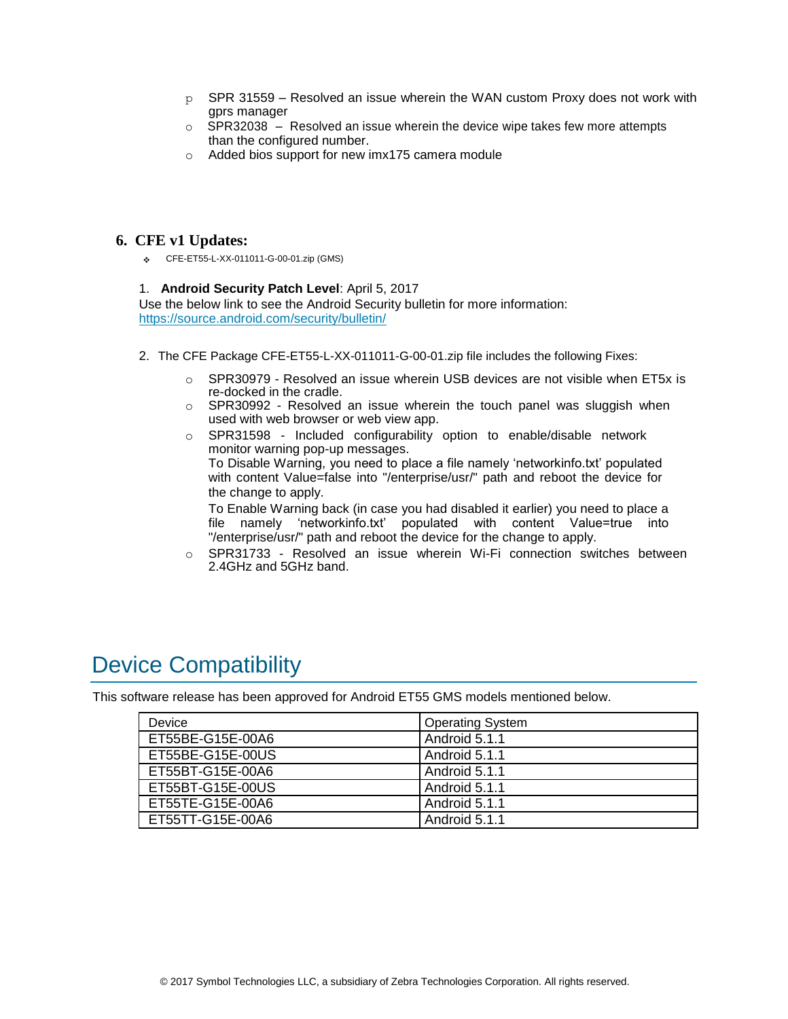- $p$  SPR 31559 Resolved an issue wherein the WAN custom Proxy does not work with gprs manager
- $\circ$  SPR32038 Resolved an issue wherein the device wipe takes few more attempts than the configured number.
- o Added bios support for new imx175 camera module

### **6. CFE v1 Updates:**

❖ CFE-ET55-L-XX-011011-G-00-01.zip (GMS)

### 1. **Android Security Patch Level**: April 5, 2017

Use the below link to see the Android Security bulletin for more information: <https://source.android.com/security/bulletin/>

- 2. The CFE Package CFE-ET55-L-XX-011011-G-00-01.zip file includes the following Fixes:
	- $\circ$  SPR30979 Resolved an issue wherein USB devices are not visible when ET5x is re-docked in the cradle.
	- $\circ$  SPR30992 Resolved an issue wherein the touch panel was sluggish when used with web browser or web view app.
	- $\circ$  SPR31598 Included configurability option to enable/disable network monitor warning pop-up messages. To Disable Warning, you need to place a file namely 'networkinfo.txt' populated with content Value=false into "/enterprise/usr/" path and reboot the device for the change to apply.

To Enable Warning back (in case you had disabled it earlier) you need to place a file namely 'networkinfo.txt' populated with content Value=true into "/enterprise/usr/" path and reboot the device for the change to apply.

o SPR31733 - Resolved an issue wherein Wi-Fi connection switches between 2.4GHz and 5GHz band.

## <span id="page-3-0"></span>Device Compatibility

This software release has been approved for Android ET55 GMS models mentioned below.

| Device           | <b>Operating System</b> |
|------------------|-------------------------|
| ET55BE-G15E-00A6 | Android 5.1.1           |
| ET55BE-G15E-00US | Android 5.1.1           |
| ET55BT-G15E-00A6 | Android 5.1.1           |
| ET55BT-G15E-00US | Android 5.1.1           |
| ET55TE-G15E-00A6 | Android 5.1.1           |
| ET55TT-G15E-00A6 | Android 5.1.1           |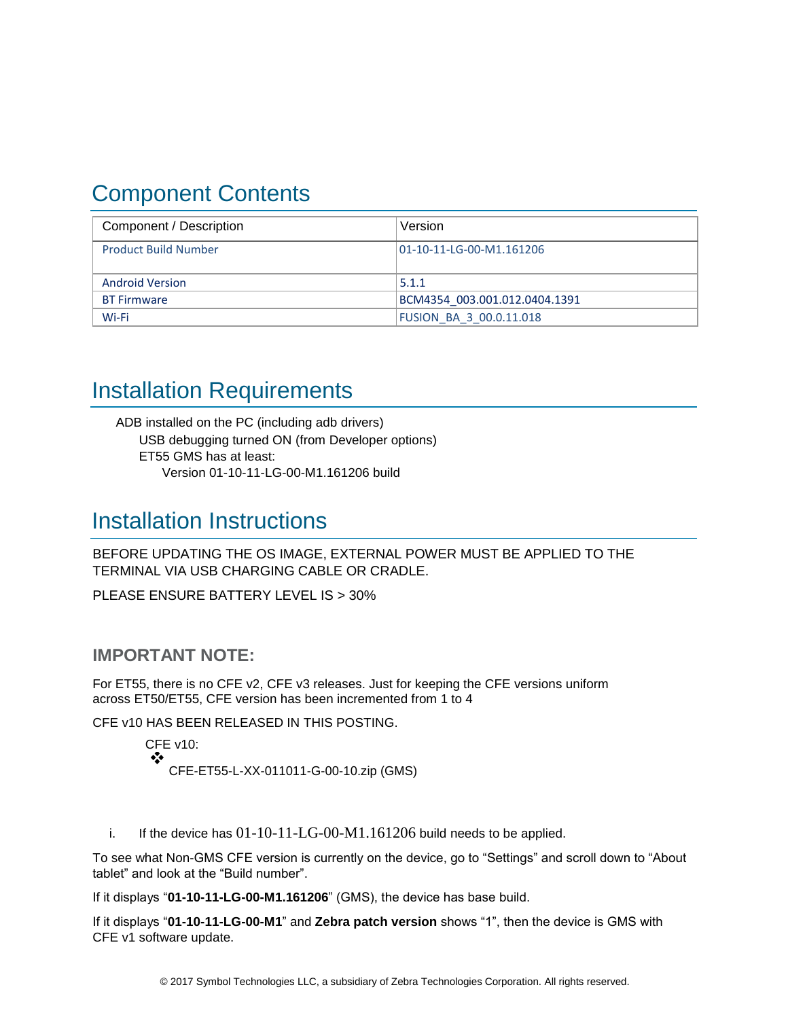## <span id="page-4-0"></span>Component Contents

| Component / Description     | Version                        |
|-----------------------------|--------------------------------|
| <b>Product Build Number</b> | 01-10-11-LG-00-M1.161206       |
| <b>Android Version</b>      | 5.1.1                          |
| <b>BT Firmware</b>          | BCM4354 003.001.012.0404.1391  |
| Wi-Fi                       | <b>FUSION BA 3 00.0.11.018</b> |

## <span id="page-4-1"></span>Installation Requirements

ADB installed on the PC (including adb drivers) USB debugging turned ON (from Developer options) ET55 GMS has at least: Version 01-10-11-LG-00-M1.161206 build

### <span id="page-4-2"></span>Installation Instructions

BEFORE UPDATING THE OS IMAGE, EXTERNAL POWER MUST BE APPLIED TO THE TERMINAL VIA USB CHARGING CABLE OR CRADLE.

PLEASE ENSURE BATTERY LEVEL IS > 30%

### **IMPORTANT NOTE:**

For ET55, there is no CFE v2, CFE v3 releases. Just for keeping the CFE versions uniform across ET50/ET55, CFE version has been incremented from 1 to 4

CFE v10 HAS BEEN RELEASED IN THIS POSTING.

CFE v10: ❖ CFE-ET55-L-XX-011011-G-00-10.zip (GMS)

i. If the device has  $01-10-11-LG-00-M1.161206$  build needs to be applied.

To see what Non-GMS CFE version is currently on the device, go to "Settings" and scroll down to "About tablet" and look at the "Build number".

If it displays "**01-10-11-LG-00-M1.161206**" (GMS), the device has base build.

If it displays "**01-10-11-LG-00-M1**" and **Zebra patch version** shows "1", then the device is GMS with CFE v1 software update.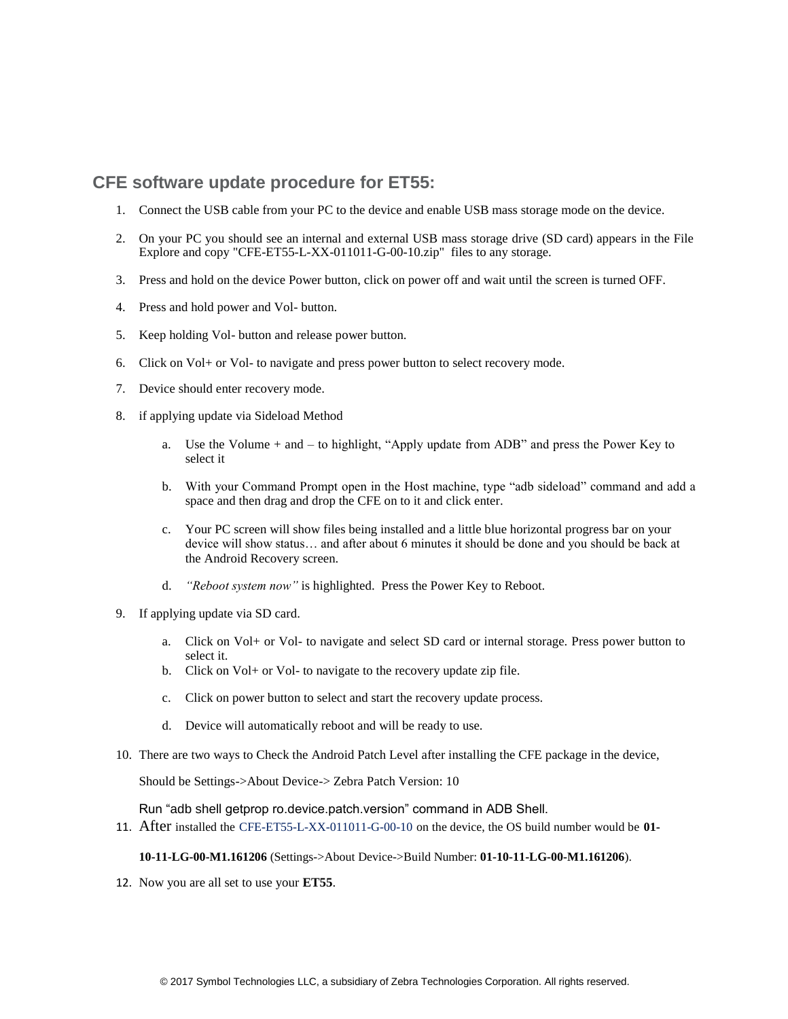### **CFE software update procedure for ET55:**

- 1. Connect the USB cable from your PC to the device and enable USB mass storage mode on the device.
- 2. On your PC you should see an internal and external USB mass storage drive (SD card) appears in the File Explore and copy "CFE-ET55-L-XX-011011-G-00-10.zip" files to any storage.
- 3. Press and hold on the device Power button, click on power off and wait until the screen is turned OFF.
- 4. Press and hold power and Vol- button.
- 5. Keep holding Vol- button and release power button.
- 6. Click on Vol+ or Vol- to navigate and press power button to select recovery mode.
- 7. Device should enter recovery mode.
- 8. if applying update via Sideload Method
	- a. Use the Volume + and to highlight, "Apply update from ADB" and press the Power Key to select it
	- b. With your Command Prompt open in the Host machine, type "adb sideload" command and add a space and then drag and drop the CFE on to it and click enter.
	- c. Your PC screen will show files being installed and a little blue horizontal progress bar on your device will show status… and after about 6 minutes it should be done and you should be back at the Android Recovery screen.
	- d. *"Reboot system now"* is highlighted. Press the Power Key to Reboot.
- 9. If applying update via SD card.
	- a. Click on Vol+ or Vol- to navigate and select SD card or internal storage. Press power button to select it.
	- b. Click on Vol+ or Vol- to navigate to the recovery update zip file.
	- c. Click on power button to select and start the recovery update process.
	- d. Device will automatically reboot and will be ready to use.
- 10. There are two ways to Check the Android Patch Level after installing the CFE package in the device,

Should be Settings->About Device-> Zebra Patch Version: 10

Run "adb shell getprop ro.device.patch.version" command in ADB Shell.

11. After installed the CFE-ET55-L-XX-011011-G-00-10 on the device, the OS build number would be **01-**

**10-11-LG-00-M1.161206** (Settings->About Device->Build Number: **01-10-11-LG-00-M1.161206**).

12. Now you are all set to use your **ET55**.